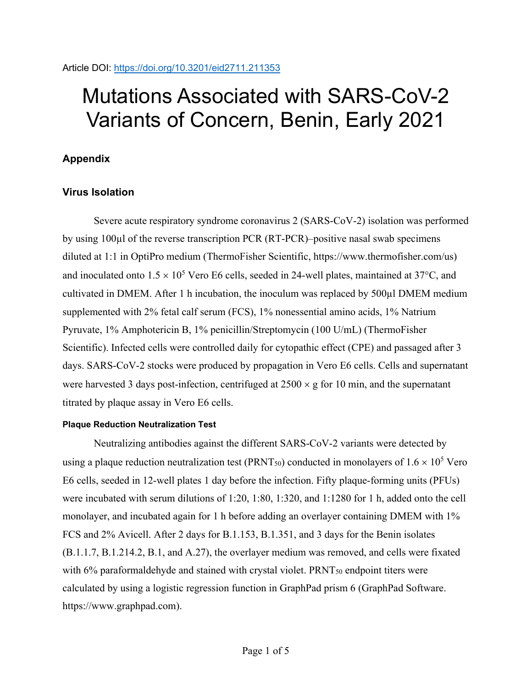## Mutations Associated with SARS-CoV-2 Variants of Concern, Benin, Early 2021

## **Appendix**

## **Virus Isolation**

Severe acute respiratory syndrome coronavirus 2 (SARS-CoV-2) isolation was performed by using 100µl of the reverse transcription PCR (RT-PCR)–positive nasal swab specimens diluted at 1:1 in OptiPro medium (ThermoFisher Scientific, https://www.thermofisher.com/us) and inoculated onto  $1.5 \times 10^5$  Vero E6 cells, seeded in 24-well plates, maintained at 37°C, and cultivated in DMEM. After 1 h incubation, the inoculum was replaced by 500µl DMEM medium supplemented with 2% fetal calf serum (FCS), 1% nonessential amino acids, 1% Natrium Pyruvate, 1% Amphotericin B, 1% penicillin/Streptomycin (100 U/mL) (ThermoFisher Scientific). Infected cells were controlled daily for cytopathic effect (CPE) and passaged after 3 days. SARS-CoV-2 stocks were produced by propagation in Vero E6 cells. Cells and supernatant were harvested 3 days post-infection, centrifuged at  $2500 \times g$  for 10 min, and the supernatant titrated by plaque assay in Vero E6 cells.

## **Plaque Reduction Neutralization Test**

Neutralizing antibodies against the different SARS-CoV-2 variants were detected by using a plaque reduction neutralization test (PRNT<sub>50</sub>) conducted in monolayers of  $1.6 \times 10^5$  Vero E6 cells, seeded in 12-well plates 1 day before the infection. Fifty plaque-forming units (PFUs) were incubated with serum dilutions of 1:20, 1:80, 1:320, and 1:1280 for 1 h, added onto the cell monolayer, and incubated again for 1 h before adding an overlayer containing DMEM with 1% FCS and 2% Avicell. After 2 days for B.1.153, B.1.351, and 3 days for the Benin isolates (B.1.1.7, B.1.214.2, B.1, and A.27), the overlayer medium was removed, and cells were fixated with 6% paraformaldehyde and stained with crystal violet. PRNT<sub>50</sub> endpoint titers were calculated by using a logistic regression function in GraphPad prism 6 (GraphPad Software. https://www.graphpad.com).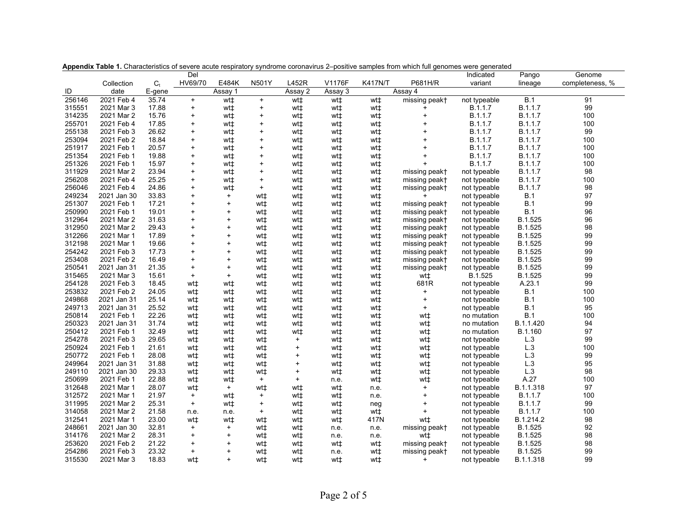|                  |                          |         | Del        |                                               |           |           |             |                |                                  | Indicated                    | Pango              | Genome          |
|------------------|--------------------------|---------|------------|-----------------------------------------------|-----------|-----------|-------------|----------------|----------------------------------|------------------------------|--------------------|-----------------|
|                  | Collection               | $C_{t}$ | HV69/70    | E484K                                         | N501Y     | L452R     | V1176F      | <b>K417N/T</b> | P681H/R                          | variant                      | lineage            | completeness, % |
| ID               | date                     | E-gene  |            | Assay 1                                       |           | Assay 2   | Assay 3     |                | Assay 4                          |                              |                    |                 |
| 256146           | 2021 Feb 4               | 35.74   | $+$        | wt <sup>+</sup>                               | $\ddot{}$ | wt‡       | wt‡         | wt‡            | missing peak+                    | not typeable                 | B.1                | 91              |
| 315551           | 2021 Mar 3               | 17.88   | $+$        | wt±                                           | $\ddot{}$ | wt‡       | wt‡         | wt±            | $\ddot{}$                        | B.1.1.7                      | B.1.1.7            | 99              |
| 314235           | 2021 Mar 2               | 15.76   | $\ddot{}$  | wt‡                                           | $\ddot{}$ | wt‡       | wt‡         | wt‡            | $\ddot{}$                        | B.1.1.7                      | B.1.1.7            | 100             |
| 255701           | 2021 Feb 4               | 17.85   | $\ddot{}$  | wt±                                           | $\ddot{}$ | wt‡       | wt‡         | wt‡            | $\begin{array}{c} + \end{array}$ | B.1.1.7                      | B.1.1.7            | 100             |
| 255138           | 2021 Feb 3               | 26.62   | $\ddot{}$  | wt‡                                           | $\ddot{}$ | wt‡       | wt‡         | wt‡            | $\ddot{}$                        | B.1.1.7                      | B.1.1.7            | 99              |
| 253094           | 2021 Feb 2               | 18.84   | $\ddot{}$  | wt‡                                           | $\ddot{}$ | wt‡       | wt‡         | wt±            | $\ddot{}$                        | B.1.1.7                      | B.1.1.7            | 100             |
| 251917           | 2021 Feb 1               | 20.57   | $\ddot{}$  | wt‡                                           | $\ddot{}$ | wt‡       | wt‡         | wt‡            |                                  | B.1.1.7                      | B.1.1.7            | 100             |
| 251354           | 2021 Feb 1               | 19.88   | $\ddot{}$  | wt‡                                           | $\ddot{}$ | wt‡       | wt‡         | wt‡            | $\ddot{}$                        | B.1.1.7                      | B.1.1.7            | 100             |
| 251326           | 2021 Feb 1               | 15.97   | $\ddot{}$  | wt‡                                           | $\ddot{}$ | wt‡       | wt‡         | wt‡            | $\ddot{}$                        | B.1.1.7                      | B.1.1.7            | 100             |
| 311929           | 2021 Mar 2               | 23.94   | $\ddot{}$  | wt‡                                           | $\ddot{}$ | wt‡       | wt‡         | wt±            | missing peak+                    | not typeable                 | B.1.1.7            | 98              |
| 256208           | 2021 Feb 4               | 25.25   | $\ddot{}$  | wt‡                                           | $\ddot{}$ | wt‡       | wt‡         | wt‡            | missing peak+                    | not typeable                 | B.1.1.7            | 100             |
| 256046           | 2021 Feb 4               | 24.86   | $\ddot{}$  | wt‡                                           | $\ddot{}$ | wt‡       | wt‡         | wt±            | missing peak†                    | not typeable                 | B.1.1.7            | 98              |
| 249234           | 2021 Jan 30              | 33.83   | $\ddot{}$  | $\left. + \right.$                            | wt‡       | wt‡       | wt‡         | wt‡            |                                  | not typeable                 | B.1                | 97              |
| 251307           | 2021 Feb 1               | 17.21   | $\ddot{}$  | $\ddot{}$                                     | wt‡       | wt‡       | wt‡         | wt‡            | missing peak+                    | not typeable                 | <b>B.1</b>         | 99              |
| 250990           | 2021 Feb 1               | 19.01   | $\ddot{}$  | $\begin{array}{c} + \end{array}$              | wt‡       | wt‡       | wt‡         | wt‡            | missing peak†                    | not typeable                 | B.1                | 96              |
| 312964           | 2021 Mar 2               | 31.63   | $\ddot{}$  | $\ddot{}$                                     | wt‡       | wt‡       | wt‡         | wt‡            | missing peak†                    | not typeable                 | B.1.525            | 96              |
| 312950           | 2021 Mar 2               | 29.43   | $\ddot{}$  | $\begin{array}{c} + \end{array}$              | wt±       | wt‡       | wt‡         | wt‡            | missing peak†                    | not typeable                 | B.1.525            | 98              |
| 312266           | 2021 Mar 1               | 17.89   | $\ddot{}$  | $\ddot{}$                                     | wt‡       | wt‡       | wt‡         | wt‡            | missing peak†                    | not typeable                 | B.1.525            | 99              |
| 312198           | 2021 Mar 1               | 19.66   | $\ddot{}$  | $\ddot{}$                                     | wt‡       | wt‡       | wt‡         | wt‡            | missing peak+                    | not typeable                 | B.1.525            | 99              |
| 254242           | 2021 Feb 3               | 17.73   | $\ddot{}$  | $\ddot{}$                                     | wt‡       | wt‡       | wt‡         | wt‡            | missing peak†                    | not typeable                 | B.1.525            | 99              |
| 253408           | 2021 Feb 2               | 16.49   | $\ddot{}$  | $\begin{array}{c} + \end{array}$              | wt‡       | wt‡       | wt‡         | wt‡            | missing peak†                    | not typeable                 | B.1.525            | 99              |
| 250541           | 2021 Jan 31              | 21.35   | $\ddot{}$  | $\left. + \right.$                            | wt‡       | wt‡       | wt‡         | wt‡            | missing peak+                    | not typeable                 | B.1.525            | 99              |
| 315465           | 2021 Mar 3               | 15.61   | $\ddot{}$  | $\ddot{}$                                     | wt‡       | wt‡       | wt‡         | wt‡            | wt‡                              | B.1.525                      | B.1.525            | 99              |
| 254128           | 2021 Feb 3               | 18.45   | wt±        | wt‡                                           | wt‡       | wt‡       | wt‡         | wt‡            | 681R                             | not typeable                 | A 23.1             | 99              |
| 253832           | 2021 Feb 2               | 24.05   | wt‡        | wt‡                                           | wt‡       | wt‡       | wt‡         | wt‡            | $\ddot{}$                        | not typeable                 | <b>B.1</b>         | 100             |
| 249868           | 2021 Jan 31              | 25.14   | wt‡        | wt‡                                           | wt‡       | wt‡       | wt‡         | wt‡            | $\begin{array}{c} + \end{array}$ | not typeable                 | <b>B.1</b>         | 100             |
| 249713           | 2021 Jan 31              | 25.52   | wt±        | wt±                                           | wt‡       | wt‡       | wt‡         | wt‡            | $\ddot{}$                        | not typeable                 | B.1                | 95              |
| 250814           | 2021 Feb 1               | 22.26   | wt‡        | wt‡                                           | wt‡       | wt‡       | wt‡         | wt‡            | wt‡                              | no mutation                  | B.1                | 100             |
| 250323           | 2021 Jan 31              | 31.74   | wt±        | wt‡                                           | wt‡       | wt‡       | wt‡         | wt‡            | wt‡                              | no mutation                  | B.1.1.420          | 94              |
| 250412           | 2021 Feb 1               | 32.49   | wt‡        | wt‡                                           | wt‡       | wt‡       | wt‡         | wt‡            | wt‡                              | no mutation                  | B.1.160            | 97              |
| 254278           | 2021 Feb 3               | 29.65   | wt±        | wt‡                                           | wt‡       | $\ddot{}$ | wt‡         | wt‡            | wt‡                              | not typeable                 | L.3                | 99              |
| 250924           | 2021 Feb 1               | 21.61   | wt±        | wt‡                                           | wt‡       | $\ddot{}$ | wt‡         | wt‡            | wt‡                              | not typeable                 | L.3                | 100             |
| 250772           | 2021 Feb 1               | 28.08   | wt±        | wt‡                                           | wt‡       | $\ddot{}$ | wt‡         | wt‡            | wt‡                              | not typeable                 | L.3                | 99              |
| 249964           | 2021 Jan 31              | 31.88   | wt‡        | wt±                                           | wt‡       | $\ddot{}$ | wt‡         | wt‡            | wt‡                              | not typeable                 | L.3                | 95              |
| 249110           | 2021 Jan 30              | 29.33   | wt±        | wt±                                           | wt‡       | $\ddot{}$ | wt‡         | wt‡            | wt‡                              | not typeable                 | L.3                | 98              |
| 250699           | 2021 Feb 1               | 22.88   | wt‡        | wt‡                                           | $\ddot{}$ | $\ddot{}$ |             | wt‡            | wt‡                              | not typeable                 | A.27               | 100             |
| 312648           | 2021 Mar 1               | 28.07   | wt‡        | $\ddot{}$                                     | wt‡       | wt‡       | n.e.<br>wt‡ | n.e.           | $\begin{array}{c} + \end{array}$ | not typeable                 | B.1.1.318          | 97              |
| 312572           | 2021 Mar 1               | 21.97   | $+$        | wt±                                           | $\ddot{}$ | wt‡       | wt‡         | n.e.           | $\ddot{}$                        |                              | B.1.1.7            | 100             |
| 311995           | 2021 Mar 2               | 25.31   | $\ddot{}$  | wt‡                                           | $\ddot{}$ | wt‡       | wt‡         |                | $\ddot{}$                        | not typeable<br>not typeable | B.1.1.7            | 99              |
| 314058           | 2021 Mar 2               | 21.58   |            |                                               | $\ddot{}$ | wt‡       |             | neg<br>wt‡     | ÷                                |                              | B.1.1.7            | 100             |
| 312541           |                          | 23.00   | n.e.       | n.e.                                          |           |           | wt‡         | 417N           |                                  | not typeable                 |                    | 98              |
| 248661           | 2021 Mar 1               | 32.81   | wt‡<br>$+$ | wt‡<br>$\ddot{}$                              | wt‡       | wt‡       | wt‡         |                | wt‡                              | not typeable                 | B.1.214.2          | 92              |
|                  | 2021 Jan 30              | 28.31   | $\ddot{}$  | $\left. + \right.$                            | wt‡       | wt‡       | n.e.        | n.e.           | missing peak+                    | not typeable                 | B.1.525            | 98              |
| 314176<br>253620 | 2021 Mar 2<br>2021 Feb 2 | 21.22   | $\ddot{}$  |                                               | wt‡       | wt‡       | n.e.        | n.e.           | wt‡                              | not typeable                 | B.1.525<br>B.1.525 | 98              |
| 254286           | 2021 Feb 3               | 23.32   | $\ddot{}$  | $\begin{array}{c} + \end{array}$<br>$\ddot{}$ | wt‡       | wt‡       | wt‡         | wt‡            | missing peak†                    | not typeable                 | B.1.525            | 99              |
|                  |                          |         |            |                                               | wt‡       | wt‡       | n.e.        | wt±            | missing peak†                    | not typeable                 |                    | 99              |
| 315530           | 2021 Mar 3               | 18.83   | wt±        | $+$                                           | wt±       | wt±       | wt±         | wt±            | ÷                                | not typeable                 | B.1.1.318          |                 |

**Appendix Table 1.** Characteristics of severe acute respiratory syndrome coronavirus 2–positive samples from which full genomes were generated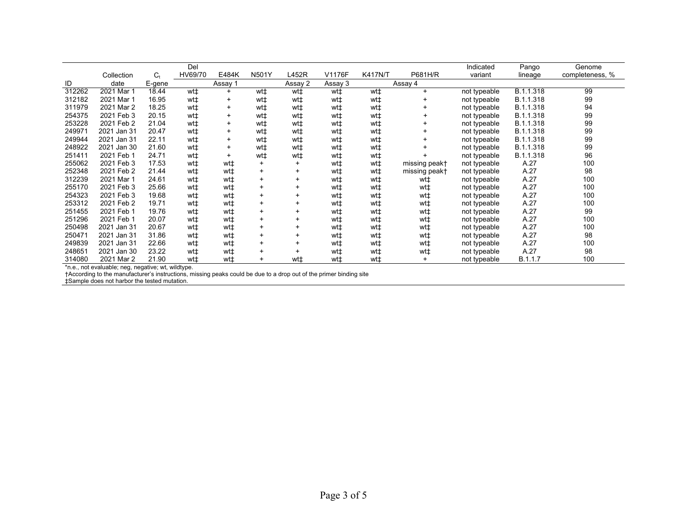|        |             |         | Del     |                |              |           |         |                |               | Indicated    | Pango     | Genome          |
|--------|-------------|---------|---------|----------------|--------------|-----------|---------|----------------|---------------|--------------|-----------|-----------------|
|        | Collection  | $C_{t}$ | HV69/70 | E484K          | <b>N501Y</b> | L452R     | V1176F  | <b>K417N/T</b> | P681H/R       | variant      | lineage   | completeness, % |
| ID     | date        | E-gene  |         | Assay 1        |              | Assay 2   | Assay 3 |                | Assay 4       |              |           |                 |
| 312262 | 2021 Mar 1  | 18.44   | wt‡     | $\ddot{}$      | wt‡          | wt‡       | wt‡     | wt‡            | $\ddot{}$     | not typeable | B.1.1.318 | 99              |
| 312182 | 2021 Mar 1  | 16.95   | wt‡     | $\overline{+}$ | wt‡          | wt‡       | wt‡     | wt‡            |               | not typeable | B.1.1.318 | 99              |
| 311979 | 2021 Mar 2  | 18.25   | wt‡     | $\ddot{}$      | wt‡          | wt‡       | wt‡     | wt‡            |               | not typeable | B.1.1.318 | 94              |
| 254375 | 2021 Feb 3  | 20.15   | wt‡     | $\ddot{}$      | wt‡          | wt‡       | wt‡     | wt‡            | +             | not typeable | B.1.1.318 | 99              |
| 253228 | 2021 Feb 2  | 21.04   | wt‡     | $\ddot{}$      | wt‡          | wt‡       | wt‡     | wt‡            |               | not typeable | B.1.1.318 | 99              |
| 249971 | 2021 Jan 31 | 20.47   | wt‡     | $\ddot{}$      | wt‡          | wt‡       | wt‡     | wt±            |               | not typeable | B.1.1.318 | 99              |
| 249944 | 2021 Jan 31 | 22.11   | wt‡     | $\ddot{}$      | wt‡          | wt‡       | wt‡     | wt‡            |               | not typeable | B.1.1.318 | 99              |
| 248922 | 2021 Jan 30 | 21.60   | wt‡     | +              | wt‡          | wt‡       | wt‡     | wt‡            |               | not typeable | B.1.1.318 | 99              |
| 251411 | 2021 Feb 1  | 24.71   | wt‡     | $\ddot{}$      | wt‡          | wt‡       | wt‡     | wt‡            |               | not typeable | B.1.1.318 | 96              |
| 255062 | 2021 Feb 3  | 17.53   | wt‡     | wt‡            | $\ddot{}$    |           | wt‡     | wt‡            | missing peak† | not typeable | A.27      | 100             |
| 252348 | 2021 Feb 2  | 21.44   | wt‡     | wt‡            | $\ddot{}$    | $\ddot{}$ | wt‡     | wt‡            | missing peak† | not typeable | A.27      | 98              |
| 312239 | 2021 Mar 1  | 24.61   | wt‡     | wt‡            | $\ddot{}$    |           | wt‡     | wt‡            | wt‡           | not typeable | A.27      | 100             |
| 255170 | 2021 Feb 3  | 25.66   | wt‡     | wt‡            | $\ddot{}$    |           | wt‡     | wt‡            | wt‡           | not typeable | A.27      | 100             |
| 254323 | 2021 Feb 3  | 19.68   | wt‡     | wt‡            | $\ddot{}$    |           | wt‡     | wt‡            | wt‡           | not typeable | A.27      | 100             |
| 253312 | 2021 Feb 2  | 19.71   | wt‡     | wt±            | $\ddot{}$    |           | wt‡     | wt‡            | wt‡           | not typeable | A.27      | 100             |
| 251455 | 2021 Feb 1  | 19.76   | wt‡     | wt‡            | $\ddot{}$    |           | wt‡     | wt‡            | wt‡           | not typeable | A.27      | 99              |
| 251296 | 2021 Feb 1  | 20.07   | wt‡     | wt‡            | $\ddot{}$    |           | wt‡     | wt‡            | wt‡           | not typeable | A.27      | 100             |
| 250498 | 2021 Jan 31 | 20.67   | wt‡     | wt‡            | $\ddot{}$    |           | wt‡     | wt‡            | wt‡           | not typeable | A.27      | 100             |
| 250471 | 2021 Jan 31 | 31.86   | wt‡     | wt‡            | $\ddot{}$    |           | wt‡     | wt‡            | wt‡           | not typeable | A.27      | 98              |
| 249839 | 2021 Jan 31 | 22.66   | wt‡     | wt‡            | $\ddot{}$    |           | wt‡     | wt‡            | wt‡           | not typeable | A.27      | 100             |
| 248651 | 2021 Jan 30 | 23.22   | wt‡     | wt‡            | $\ddot{}$    |           | wt‡     | wt‡            | wt‡           | not typeable | A.27      | 98              |
| 314080 | 2021 Mar 2  | 21.90   | wt‡     | wt‡            | $\ddot{}$    | wt‡       | wt±     | wt‡            | ÷             | not typeable | B.1.1.7   | 100             |

\*n.e., not evaluable; neg, negative; wt, wildtype.

†According to the manufacturer's instructions, missing peaks could be due to a drop out of the primer binding site

‡Sample does not harbor the tested mutation.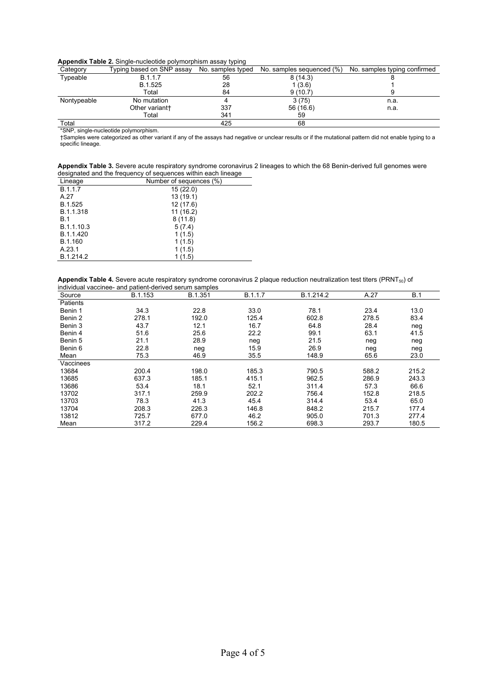| .           |                           | .                 |                           |                              |
|-------------|---------------------------|-------------------|---------------------------|------------------------------|
| Category    | Typing based on SNP assay | No. samples typed | No. samples sequenced (%) | No. samples typing confirmed |
| Typeable    | B.1.1.7                   | 56                | 8(14.3)                   |                              |
|             | B.1.525                   | 28                | 1(3.6)                    |                              |
|             | Total                     | 84                | 9(10.7)                   |                              |
| Nontypeable | No mutation               |                   | 3(75)                     | n.a.                         |
|             | Other variant†            | 337               | 56 (16.6)                 | n.a.                         |
|             | Total                     | 341               | 59                        |                              |
| Total       |                           | 425               | 68                        |                              |

\*SNP, single-nucleotide polymorphism.

†Samples were categorized as other variant if any of the assays had negative or unclear results or if the mutational pattern did not enable typing to a specific lineage.

| Appendix Table 3. Severe acute respiratory syndrome coronavirus 2 lineages to which the 68 Benin-derived full genomes were |  |  |  |
|----------------------------------------------------------------------------------------------------------------------------|--|--|--|
| designated and the frequency of sequences within each lineage                                                              |  |  |  |

| Lineage    | Number of sequences (%) |
|------------|-------------------------|
| B.1.1.7    | 15(22.0)                |
| A.27       | 13(19.1)                |
| B.1.525    | 12(17.6)                |
| B.1.1.318  | 11(16.2)                |
| <b>B.1</b> | 8(11.8)                 |
| B.1.1.10.3 | 5(7.4)                  |
| B.1.1.420  | 1(1.5)                  |
| B.1.160    | 1(1.5)                  |
| A.23.1     | 1(1.5)                  |
| B.1.214.2  | (1.5)                   |

**Appendix Table 4.** Severe acute respiratory syndrome coronavirus 2 plaque reduction neutralization test titers (PRNT<sub>50</sub>) of individual vaccinee- and patient-derived serum samples

| Source    | B.1.153 | B.1.351 | B.1.1.7 | B.1.214.2 | A.27  | B.1   |
|-----------|---------|---------|---------|-----------|-------|-------|
| Patients  |         |         |         |           |       |       |
| Benin 1   | 34.3    | 22.8    | 33.0    | 78.1      | 23.4  | 13.0  |
| Benin 2   | 278.1   | 192.0   | 125.4   | 602.8     | 278.5 | 83.4  |
| Benin 3   | 43.7    | 12.1    | 16.7    | 64.8      | 28.4  | neg   |
| Benin 4   | 51.6    | 25.6    | 22.2    | 99.1      | 63.1  | 41.5  |
| Benin 5   | 21.1    | 28.9    | neg     | 21.5      | neg   | neg   |
| Benin 6   | 22.8    | neg     | 15.9    | 26.9      | neg   | neg   |
| Mean      | 75.3    | 46.9    | 35.5    | 148.9     | 65.6  | 23.0  |
| Vaccinees |         |         |         |           |       |       |
| 13684     | 200.4   | 198.0   | 185.3   | 790.5     | 588.2 | 215.2 |
| 13685     | 637.3   | 185.1   | 415.1   | 962.5     | 286.9 | 243.3 |
| 13686     | 53.4    | 18.1    | 52.1    | 311.4     | 57.3  | 66.6  |
| 13702     | 317.1   | 259.9   | 202.2   | 756.4     | 152.8 | 218.5 |
| 13703     | 78.3    | 41.3    | 45.4    | 314.4     | 53.4  | 65.0  |
| 13704     | 208.3   | 226.3   | 146.8   | 848.2     | 215.7 | 177.4 |
| 13812     | 725.7   | 677.0   | 46.2    | 905.0     | 701.3 | 277.4 |
| Mean      | 317.2   | 229.4   | 156.2   | 698.3     | 293.7 | 180.5 |